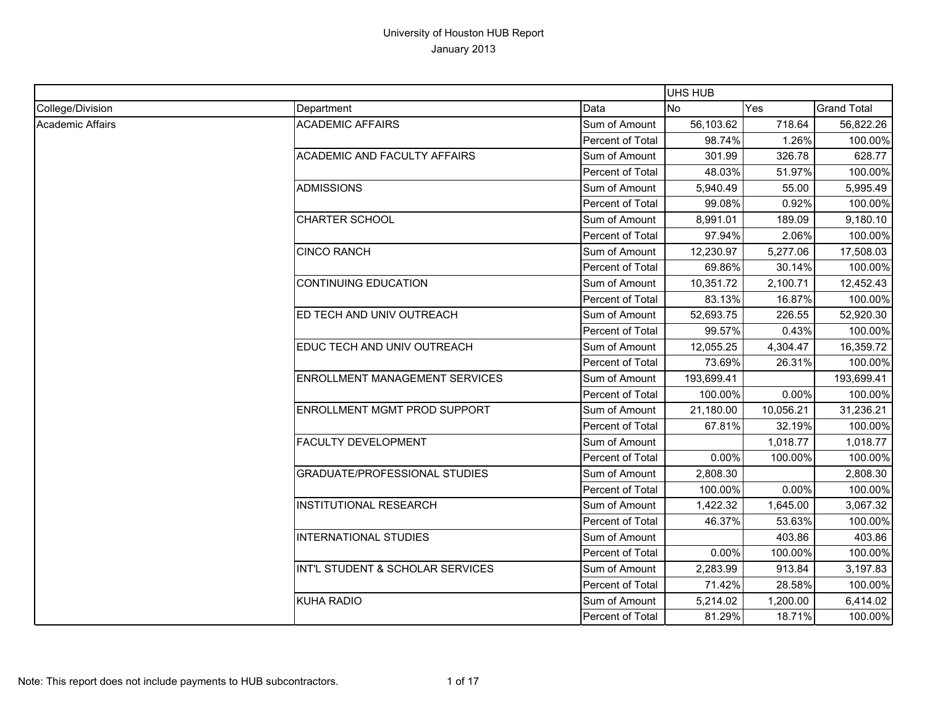|                         |                                       |                  | UHS HUB    |           |                    |
|-------------------------|---------------------------------------|------------------|------------|-----------|--------------------|
| College/Division        | Department                            | Data             | <b>No</b>  | Yes       | <b>Grand Total</b> |
| <b>Academic Affairs</b> | <b>ACADEMIC AFFAIRS</b>               | Sum of Amount    | 56,103.62  | 718.64    | 56,822.26          |
|                         |                                       | Percent of Total | 98.74%     | 1.26%     | 100.00%            |
|                         | <b>ACADEMIC AND FACULTY AFFAIRS</b>   | Sum of Amount    | 301.99     | 326.78    | 628.77             |
|                         |                                       | Percent of Total | 48.03%     | 51.97%    | 100.00%            |
|                         | <b>ADMISSIONS</b>                     | Sum of Amount    | 5,940.49   | 55.00     | 5,995.49           |
|                         |                                       | Percent of Total | 99.08%     | 0.92%     | 100.00%            |
|                         | <b>CHARTER SCHOOL</b>                 | Sum of Amount    | 8,991.01   | 189.09    | 9,180.10           |
|                         |                                       | Percent of Total | 97.94%     | 2.06%     | 100.00%            |
|                         | <b>CINCO RANCH</b>                    | Sum of Amount    | 12,230.97  | 5,277.06  | 17,508.03          |
|                         |                                       | Percent of Total | 69.86%     | 30.14%    | 100.00%            |
|                         | <b>CONTINUING EDUCATION</b>           | Sum of Amount    | 10,351.72  | 2,100.71  | 12,452.43          |
|                         |                                       | Percent of Total | 83.13%     | 16.87%    | 100.00%            |
|                         | ED TECH AND UNIV OUTREACH             | Sum of Amount    | 52,693.75  | 226.55    | 52,920.30          |
|                         |                                       | Percent of Total | 99.57%     | 0.43%     | 100.00%            |
|                         | EDUC TECH AND UNIV OUTREACH           | Sum of Amount    | 12,055.25  | 4,304.47  | 16,359.72          |
|                         |                                       | Percent of Total | 73.69%     | 26.31%    | 100.00%            |
|                         | <b>ENROLLMENT MANAGEMENT SERVICES</b> | Sum of Amount    | 193,699.41 |           | 193,699.41         |
|                         |                                       | Percent of Total | 100.00%    | 0.00%     | 100.00%            |
|                         | <b>ENROLLMENT MGMT PROD SUPPORT</b>   | Sum of Amount    | 21,180.00  | 10,056.21 | 31,236.21          |
|                         |                                       | Percent of Total | 67.81%     | 32.19%    | 100.00%            |
|                         | <b>FACULTY DEVELOPMENT</b>            | Sum of Amount    |            | 1,018.77  | 1,018.77           |
|                         |                                       | Percent of Total | $0.00\%$   | 100.00%   | 100.00%            |
|                         | <b>GRADUATE/PROFESSIONAL STUDIES</b>  | Sum of Amount    | 2,808.30   |           | 2,808.30           |
|                         |                                       | Percent of Total | 100.00%    | 0.00%     | 100.00%            |
|                         | <b>INSTITUTIONAL RESEARCH</b>         | Sum of Amount    | 1,422.32   | 1,645.00  | 3,067.32           |
|                         |                                       | Percent of Total | 46.37%     | 53.63%    | 100.00%            |
|                         | INTERNATIONAL STUDIES                 | Sum of Amount    |            | 403.86    | 403.86             |
|                         |                                       | Percent of Total | $0.00\%$   | 100.00%   | 100.00%            |
|                         | INT'L STUDENT & SCHOLAR SERVICES      | Sum of Amount    | 2,283.99   | 913.84    | 3,197.83           |
|                         |                                       | Percent of Total | 71.42%     | 28.58%    | 100.00%            |
|                         | <b>KUHA RADIO</b>                     | Sum of Amount    | 5,214.02   | 1,200.00  | 6,414.02           |
|                         |                                       | Percent of Total | 81.29%     | 18.71%    | 100.00%            |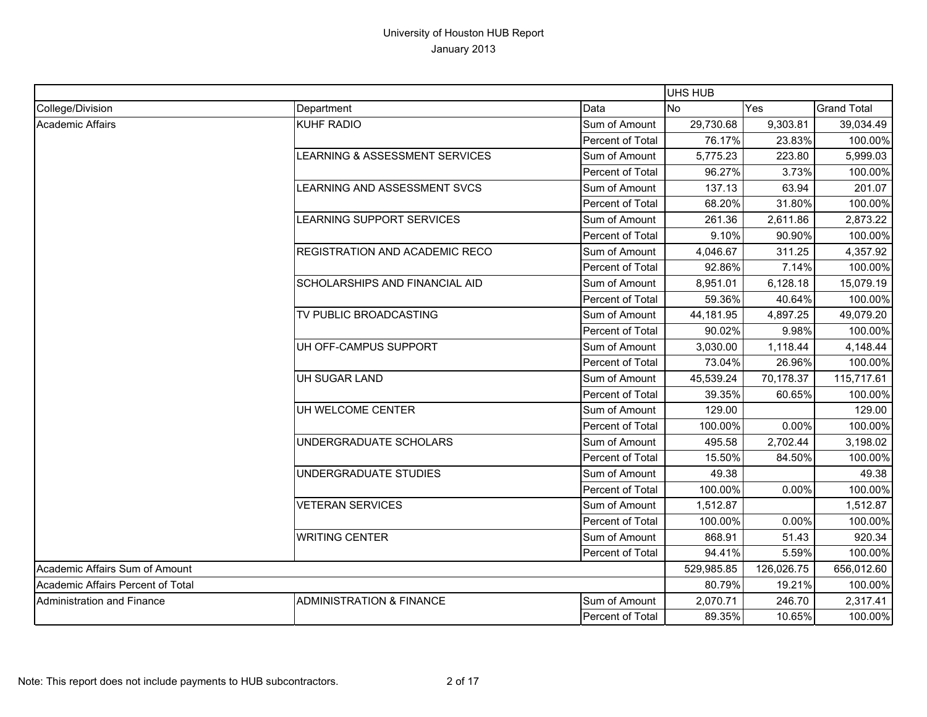|                                   |                                           |                         | <b>UHS HUB</b> |            |                    |
|-----------------------------------|-------------------------------------------|-------------------------|----------------|------------|--------------------|
| College/Division                  | Department                                | Data                    | <b>No</b>      | Yes        | <b>Grand Total</b> |
| <b>Academic Affairs</b>           | KUHF RADIO                                | Sum of Amount           | 29,730.68      | 9,303.81   | 39,034.49          |
|                                   |                                           | Percent of Total        | 76.17%         | 23.83%     | 100.00%            |
|                                   | <b>LEARNING &amp; ASSESSMENT SERVICES</b> | Sum of Amount           | 5,775.23       | 223.80     | 5,999.03           |
|                                   |                                           | Percent of Total        | 96.27%         | 3.73%      | 100.00%            |
|                                   | LEARNING AND ASSESSMENT SVCS              | Sum of Amount           | 137.13         | 63.94      | 201.07             |
|                                   |                                           | <b>Percent of Total</b> | 68.20%         | 31.80%     | 100.00%            |
|                                   | LEARNING SUPPORT SERVICES                 | Sum of Amount           | 261.36         | 2,611.86   | 2,873.22           |
|                                   |                                           | Percent of Total        | 9.10%          | 90.90%     | 100.00%            |
|                                   | <b>REGISTRATION AND ACADEMIC RECO</b>     | Sum of Amount           | 4,046.67       | 311.25     | 4,357.92           |
|                                   |                                           | Percent of Total        | 92.86%         | 7.14%      | 100.00%            |
|                                   | SCHOLARSHIPS AND FINANCIAL AID            | Sum of Amount           | 8,951.01       | 6,128.18   | 15,079.19          |
|                                   |                                           | Percent of Total        | 59.36%         | 40.64%     | 100.00%            |
|                                   | TV PUBLIC BROADCASTING                    | Sum of Amount           | 44,181.95      | 4,897.25   | 49,079.20          |
|                                   |                                           | Percent of Total        | 90.02%         | 9.98%      | 100.00%            |
|                                   | UH OFF-CAMPUS SUPPORT                     | Sum of Amount           | 3,030.00       | 1,118.44   | 4,148.44           |
|                                   |                                           | Percent of Total        | 73.04%         | 26.96%     | 100.00%            |
|                                   | UH SUGAR LAND                             | Sum of Amount           | 45,539.24      | 70,178.37  | 115,717.61         |
|                                   |                                           | Percent of Total        | 39.35%         | 60.65%     | 100.00%            |
|                                   | UH WELCOME CENTER                         | Sum of Amount           | 129.00         |            | 129.00             |
|                                   |                                           | Percent of Total        | 100.00%        | 0.00%      | 100.00%            |
|                                   | UNDERGRADUATE SCHOLARS                    | Sum of Amount           | 495.58         | 2,702.44   | 3,198.02           |
|                                   |                                           | Percent of Total        | 15.50%         | 84.50%     | 100.00%            |
|                                   | UNDERGRADUATE STUDIES                     | Sum of Amount           | 49.38          |            | 49.38              |
|                                   |                                           | Percent of Total        | 100.00%        | 0.00%      | 100.00%            |
|                                   | <b>VETERAN SERVICES</b>                   | Sum of Amount           | 1,512.87       |            | 1,512.87           |
|                                   |                                           | Percent of Total        | 100.00%        | 0.00%      | 100.00%            |
|                                   | <b>WRITING CENTER</b>                     | Sum of Amount           | 868.91         | 51.43      | 920.34             |
|                                   |                                           | Percent of Total        | 94.41%         | 5.59%      | 100.00%            |
| Academic Affairs Sum of Amount    |                                           | 529,985.85              | 126,026.75     | 656,012.60 |                    |
| Academic Affairs Percent of Total |                                           |                         | 80.79%         | 19.21%     | 100.00%            |
| Administration and Finance        | <b>ADMINISTRATION &amp; FINANCE</b>       | Sum of Amount           | 2,070.71       | 246.70     | 2,317.41           |
|                                   |                                           | <b>Percent of Total</b> | 89.35%         | 10.65%     | 100.00%            |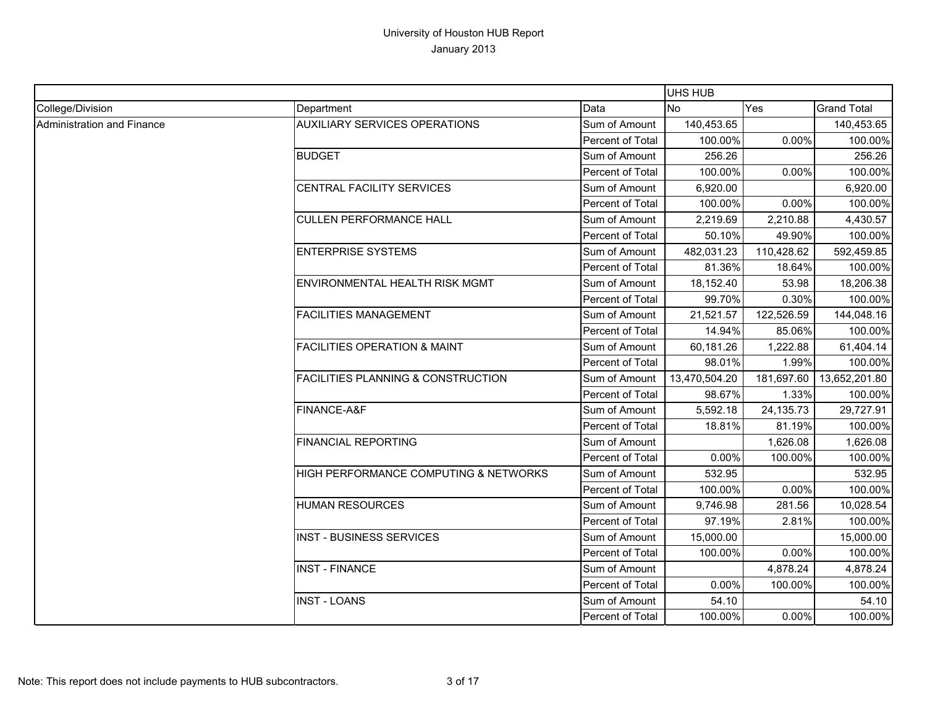|                            |                                               |                  | UHS HUB       |            |                    |
|----------------------------|-----------------------------------------------|------------------|---------------|------------|--------------------|
| College/Division           | Department                                    | Data             | <b>No</b>     | Yes        | <b>Grand Total</b> |
| Administration and Finance | <b>AUXILIARY SERVICES OPERATIONS</b>          | Sum of Amount    | 140,453.65    |            | 140,453.65         |
|                            |                                               | Percent of Total | 100.00%       | 0.00%      | 100.00%            |
|                            | <b>BUDGET</b>                                 | Sum of Amount    | 256.26        |            | 256.26             |
|                            |                                               | Percent of Total | 100.00%       | 0.00%      | 100.00%            |
|                            | CENTRAL FACILITY SERVICES                     | Sum of Amount    | 6,920.00      |            | 6,920.00           |
|                            |                                               | Percent of Total | 100.00%       | 0.00%      | 100.00%            |
|                            | <b>CULLEN PERFORMANCE HALL</b>                | Sum of Amount    | 2,219.69      | 2,210.88   | 4,430.57           |
|                            |                                               | Percent of Total | 50.10%        | 49.90%     | 100.00%            |
|                            | <b>ENTERPRISE SYSTEMS</b>                     | Sum of Amount    | 482,031.23    | 110,428.62 | 592,459.85         |
|                            |                                               | Percent of Total | 81.36%        | 18.64%     | 100.00%            |
|                            | ENVIRONMENTAL HEALTH RISK MGMT                | Sum of Amount    | 18,152.40     | 53.98      | 18,206.38          |
|                            |                                               | Percent of Total | 99.70%        | 0.30%      | 100.00%            |
|                            | <b>FACILITIES MANAGEMENT</b>                  | Sum of Amount    | 21,521.57     | 122,526.59 | 144,048.16         |
|                            |                                               | Percent of Total | 14.94%        | 85.06%     | 100.00%            |
|                            | <b>FACILITIES OPERATION &amp; MAINT</b>       | Sum of Amount    | 60,181.26     | 1,222.88   | 61,404.14          |
|                            |                                               | Percent of Total | 98.01%        | 1.99%      | 100.00%            |
|                            | <b>FACILITIES PLANNING &amp; CONSTRUCTION</b> | Sum of Amount    | 13,470,504.20 | 181,697.60 | 13,652,201.80      |
|                            |                                               | Percent of Total | 98.67%        | 1.33%      | 100.00%            |
|                            | FINANCE-A&F                                   | Sum of Amount    | 5,592.18      | 24,135.73  | 29,727.91          |
|                            |                                               | Percent of Total | 18.81%        | 81.19%     | 100.00%            |
|                            | <b>FINANCIAL REPORTING</b>                    | Sum of Amount    |               | 1,626.08   | 1,626.08           |
|                            |                                               | Percent of Total | 0.00%         | 100.00%    | 100.00%            |
|                            | HIGH PERFORMANCE COMPUTING & NETWORKS         | Sum of Amount    | 532.95        |            | 532.95             |
|                            |                                               | Percent of Total | 100.00%       | 0.00%      | 100.00%            |
|                            | <b>HUMAN RESOURCES</b>                        | Sum of Amount    | 9,746.98      | 281.56     | 10,028.54          |
|                            |                                               | Percent of Total | 97.19%        | 2.81%      | 100.00%            |
|                            | <b>INST - BUSINESS SERVICES</b>               | Sum of Amount    | 15,000.00     |            | 15,000.00          |
|                            |                                               | Percent of Total | 100.00%       | 0.00%      | 100.00%            |
|                            | <b>INST - FINANCE</b>                         | Sum of Amount    |               | 4,878.24   | 4,878.24           |
|                            |                                               | Percent of Total | 0.00%         | 100.00%    | 100.00%            |
|                            | <b>INST - LOANS</b>                           | Sum of Amount    | 54.10         |            | 54.10              |
|                            |                                               | Percent of Total | 100.00%       | 0.00%      | 100.00%            |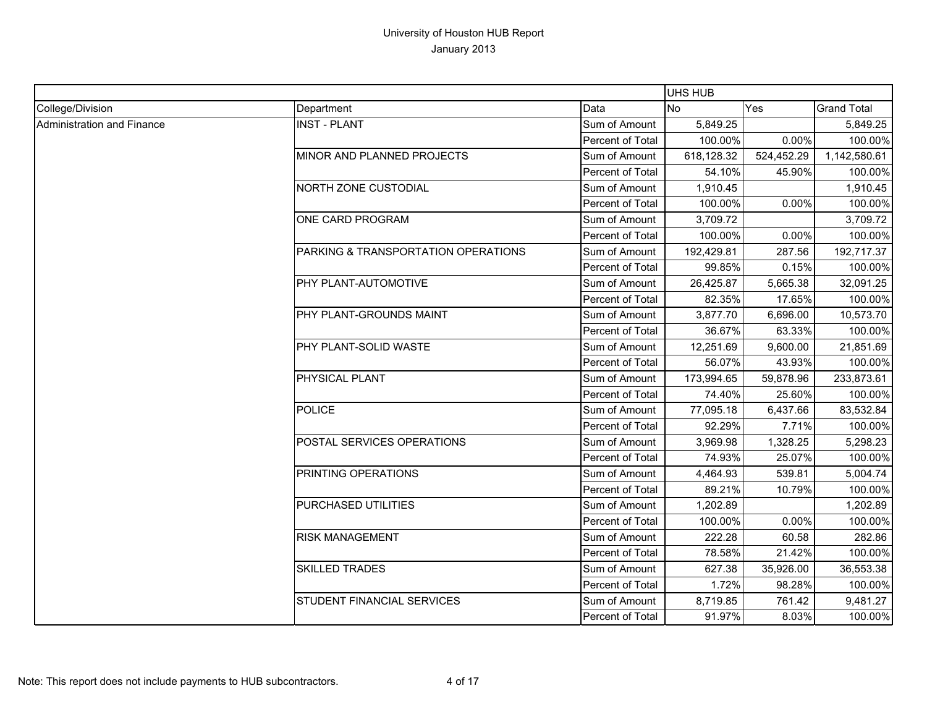|                            |                                     |                  | UHS HUB    |            |                    |
|----------------------------|-------------------------------------|------------------|------------|------------|--------------------|
| College/Division           | Department                          | Data             | <b>No</b>  | <b>Yes</b> | <b>Grand Total</b> |
| Administration and Finance | <b>INST - PLANT</b>                 | Sum of Amount    | 5,849.25   |            | 5,849.25           |
|                            |                                     | Percent of Total | 100.00%    | 0.00%      | 100.00%            |
|                            | MINOR AND PLANNED PROJECTS          | Sum of Amount    | 618,128.32 | 524,452.29 | 1,142,580.61       |
|                            |                                     | Percent of Total | 54.10%     | 45.90%     | 100.00%            |
|                            | NORTH ZONE CUSTODIAL                | Sum of Amount    | 1,910.45   |            | 1,910.45           |
|                            |                                     | Percent of Total | 100.00%    | 0.00%      | 100.00%            |
|                            | ONE CARD PROGRAM                    | Sum of Amount    | 3,709.72   |            | 3,709.72           |
|                            |                                     | Percent of Total | 100.00%    | 0.00%      | 100.00%            |
|                            | PARKING & TRANSPORTATION OPERATIONS | Sum of Amount    | 192,429.81 | 287.56     | 192,717.37         |
|                            |                                     | Percent of Total | 99.85%     | 0.15%      | 100.00%            |
|                            | PHY PLANT-AUTOMOTIVE                | Sum of Amount    | 26,425.87  | 5,665.38   | 32,091.25          |
|                            |                                     | Percent of Total | 82.35%     | 17.65%     | 100.00%            |
|                            | PHY PLANT-GROUNDS MAINT             | Sum of Amount    | 3,877.70   | 6,696.00   | 10,573.70          |
|                            |                                     | Percent of Total | 36.67%     | 63.33%     | 100.00%            |
|                            | PHY PLANT-SOLID WASTE               | Sum of Amount    | 12,251.69  | 9,600.00   | 21,851.69          |
|                            |                                     | Percent of Total | 56.07%     | 43.93%     | 100.00%            |
|                            | PHYSICAL PLANT                      | Sum of Amount    | 173,994.65 | 59,878.96  | 233,873.61         |
|                            |                                     | Percent of Total | 74.40%     | 25.60%     | 100.00%            |
|                            | <b>POLICE</b>                       | Sum of Amount    | 77,095.18  | 6,437.66   | 83,532.84          |
|                            |                                     | Percent of Total | 92.29%     | 7.71%      | 100.00%            |
|                            | POSTAL SERVICES OPERATIONS          | Sum of Amount    | 3,969.98   | 1,328.25   | 5,298.23           |
|                            |                                     | Percent of Total | 74.93%     | 25.07%     | 100.00%            |
|                            | PRINTING OPERATIONS                 | Sum of Amount    | 4,464.93   | 539.81     | 5,004.74           |
|                            |                                     | Percent of Total | 89.21%     | 10.79%     | 100.00%            |
|                            | PURCHASED UTILITIES                 | Sum of Amount    | 1,202.89   |            | 1,202.89           |
|                            |                                     | Percent of Total | 100.00%    | 0.00%      | 100.00%            |
|                            | <b>RISK MANAGEMENT</b>              | Sum of Amount    | 222.28     | 60.58      | 282.86             |
|                            |                                     | Percent of Total | 78.58%     | 21.42%     | 100.00%            |
|                            | <b>SKILLED TRADES</b>               | Sum of Amount    | 627.38     | 35,926.00  | 36,553.38          |
|                            |                                     | Percent of Total | 1.72%      | 98.28%     | 100.00%            |
|                            | STUDENT FINANCIAL SERVICES          | Sum of Amount    | 8,719.85   | 761.42     | 9,481.27           |
|                            |                                     | Percent of Total | 91.97%     | 8.03%      | 100.00%            |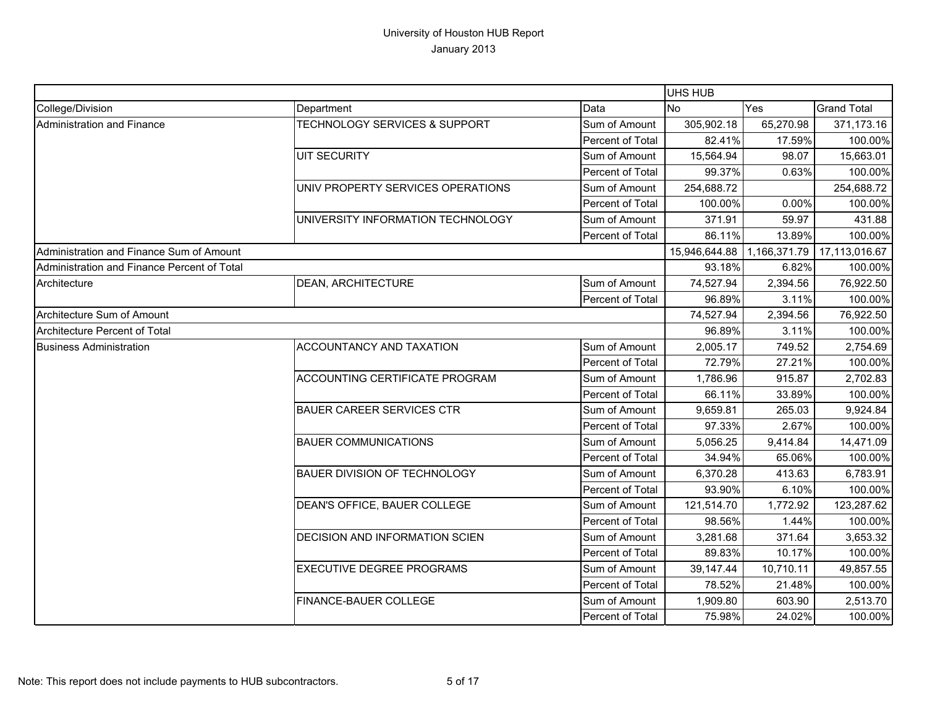|                                             |                                          |                  | UHS HUB       |              |                    |
|---------------------------------------------|------------------------------------------|------------------|---------------|--------------|--------------------|
| College/Division                            | Department                               | Data             | <b>No</b>     | Yes          | <b>Grand Total</b> |
| Administration and Finance                  | <b>TECHNOLOGY SERVICES &amp; SUPPORT</b> | Sum of Amount    | 305,902.18    | 65,270.98    | 371,173.16         |
|                                             |                                          | Percent of Total | 82.41%        | 17.59%       | 100.00%            |
|                                             | <b>UIT SECURITY</b>                      | Sum of Amount    | 15,564.94     | 98.07        | 15,663.01          |
|                                             |                                          | Percent of Total | 99.37%        | 0.63%        | 100.00%            |
|                                             | UNIV PROPERTY SERVICES OPERATIONS        | Sum of Amount    | 254,688.72    |              | 254,688.72         |
|                                             |                                          | Percent of Total | 100.00%       | 0.00%        | 100.00%            |
|                                             | UNIVERSITY INFORMATION TECHNOLOGY        | Sum of Amount    | 371.91        | 59.97        | 431.88             |
|                                             |                                          | Percent of Total | 86.11%        | 13.89%       | 100.00%            |
| Administration and Finance Sum of Amount    |                                          |                  | 15,946,644.88 | 1,166,371.79 | 17,113,016.67      |
| Administration and Finance Percent of Total |                                          |                  | 93.18%        | 6.82%        | 100.00%            |
| Architecture                                | <b>DEAN, ARCHITECTURE</b>                | Sum of Amount    | 74,527.94     | 2,394.56     | 76,922.50          |
|                                             |                                          | Percent of Total | 96.89%        | 3.11%        | 100.00%            |
| Architecture Sum of Amount                  |                                          |                  | 74,527.94     | 2,394.56     | 76,922.50          |
| Architecture Percent of Total               |                                          |                  | 96.89%        | 3.11%        | 100.00%            |
| <b>Business Administration</b>              | ACCOUNTANCY AND TAXATION                 | Sum of Amount    | 2,005.17      | 749.52       | 2,754.69           |
|                                             |                                          | Percent of Total | 72.79%        | 27.21%       | 100.00%            |
|                                             | ACCOUNTING CERTIFICATE PROGRAM           | Sum of Amount    | 1,786.96      | 915.87       | 2,702.83           |
|                                             |                                          | Percent of Total | 66.11%        | 33.89%       | 100.00%            |
|                                             | <b>BAUER CAREER SERVICES CTR</b>         | Sum of Amount    | 9,659.81      | 265.03       | 9,924.84           |
|                                             |                                          | Percent of Total | 97.33%        | 2.67%        | 100.00%            |
|                                             | <b>BAUER COMMUNICATIONS</b>              | Sum of Amount    | 5,056.25      | 9,414.84     | 14,471.09          |
|                                             |                                          | Percent of Total | 34.94%        | 65.06%       | 100.00%            |
|                                             | <b>BAUER DIVISION OF TECHNOLOGY</b>      | Sum of Amount    | 6,370.28      | 413.63       | 6,783.91           |
|                                             |                                          | Percent of Total | 93.90%        | 6.10%        | 100.00%            |
|                                             | DEAN'S OFFICE, BAUER COLLEGE             | Sum of Amount    | 121,514.70    | 1,772.92     | 123,287.62         |
|                                             |                                          | Percent of Total | 98.56%        | 1.44%        | 100.00%            |
|                                             | DECISION AND INFORMATION SCIEN           | Sum of Amount    | 3,281.68      | 371.64       | 3,653.32           |
|                                             |                                          | Percent of Total | 89.83%        | 10.17%       | 100.00%            |
|                                             | <b>EXECUTIVE DEGREE PROGRAMS</b>         | Sum of Amount    | 39,147.44     | 10,710.11    | 49,857.55          |
|                                             |                                          | Percent of Total | 78.52%        | 21.48%       | 100.00%            |
|                                             | FINANCE-BAUER COLLEGE                    | Sum of Amount    | 1,909.80      | 603.90       | 2,513.70           |
|                                             |                                          | Percent of Total | 75.98%        | 24.02%       | 100.00%            |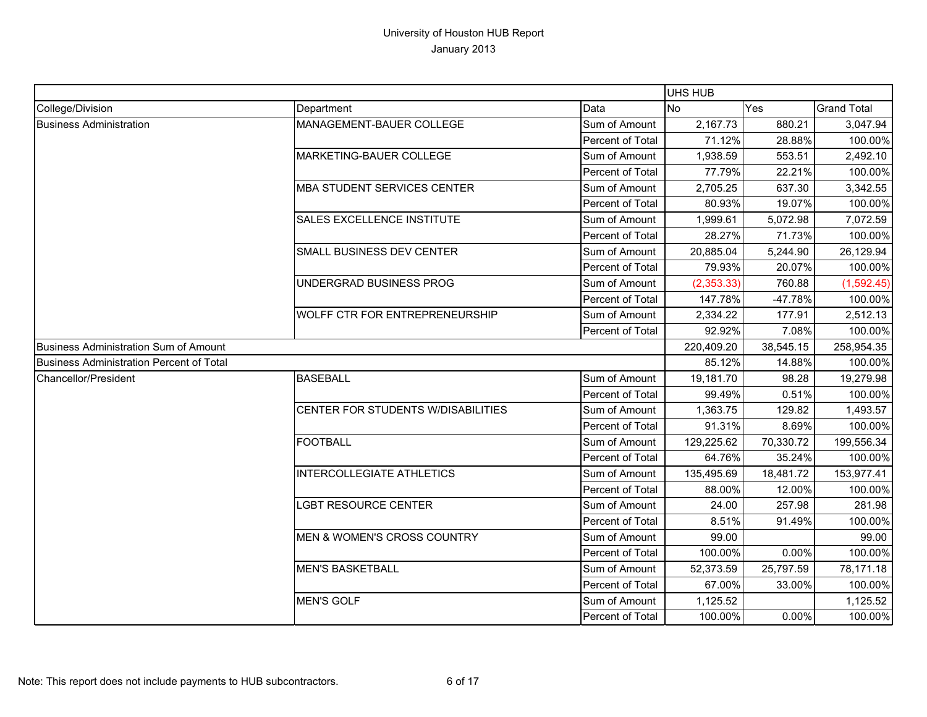|                                                 |                                    |                  | UHS HUB    |           |                    |
|-------------------------------------------------|------------------------------------|------------------|------------|-----------|--------------------|
| College/Division                                | Department                         | Data             | <b>No</b>  | Yes       | <b>Grand Total</b> |
| <b>Business Administration</b>                  | MANAGEMENT-BAUER COLLEGE           | Sum of Amount    | 2,167.73   | 880.21    | 3,047.94           |
|                                                 |                                    | Percent of Total | 71.12%     | 28.88%    | 100.00%            |
|                                                 | MARKETING-BAUER COLLEGE            | Sum of Amount    | 1,938.59   | 553.51    | 2,492.10           |
|                                                 |                                    | Percent of Total | 77.79%     | 22.21%    | 100.00%            |
|                                                 | <b>MBA STUDENT SERVICES CENTER</b> | Sum of Amount    | 2,705.25   | 637.30    | 3,342.55           |
|                                                 |                                    | Percent of Total | 80.93%     | 19.07%    | 100.00%            |
|                                                 | SALES EXCELLENCE INSTITUTE         | Sum of Amount    | 1,999.61   | 5,072.98  | 7,072.59           |
|                                                 |                                    | Percent of Total | 28.27%     | 71.73%    | 100.00%            |
|                                                 | SMALL BUSINESS DEV CENTER          | Sum of Amount    | 20,885.04  | 5,244.90  | 26,129.94          |
|                                                 |                                    | Percent of Total | 79.93%     | 20.07%    | 100.00%            |
|                                                 | UNDERGRAD BUSINESS PROG            | Sum of Amount    | (2,353.33) | 760.88    | (1,592.45)         |
|                                                 |                                    | Percent of Total | 147.78%    | $-47.78%$ | 100.00%            |
|                                                 | WOLFF CTR FOR ENTREPRENEURSHIP     | Sum of Amount    | 2,334.22   | 177.91    | 2,512.13           |
|                                                 |                                    | Percent of Total | 92.92%     | 7.08%     | 100.00%            |
| <b>Business Administration Sum of Amount</b>    |                                    |                  | 220,409.20 | 38,545.15 | 258,954.35         |
| <b>Business Administration Percent of Total</b> |                                    |                  | 85.12%     | 14.88%    | 100.00%            |
| Chancellor/President                            | <b>BASEBALL</b>                    | Sum of Amount    | 19,181.70  | 98.28     | 19,279.98          |
|                                                 |                                    | Percent of Total | 99.49%     | 0.51%     | 100.00%            |
|                                                 | CENTER FOR STUDENTS W/DISABILITIES | Sum of Amount    | 1,363.75   | 129.82    | 1,493.57           |
|                                                 |                                    | Percent of Total | 91.31%     | 8.69%     | 100.00%            |
|                                                 | <b>FOOTBALL</b>                    | Sum of Amount    | 129,225.62 | 70,330.72 | 199,556.34         |
|                                                 |                                    | Percent of Total | 64.76%     | 35.24%    | 100.00%            |
|                                                 | <b>INTERCOLLEGIATE ATHLETICS</b>   | Sum of Amount    | 135,495.69 | 18,481.72 | 153,977.41         |
|                                                 |                                    | Percent of Total | 88.00%     | 12.00%    | 100.00%            |
|                                                 | <b>LGBT RESOURCE CENTER</b>        | Sum of Amount    | 24.00      | 257.98    | 281.98             |
|                                                 |                                    | Percent of Total | 8.51%      | 91.49%    | 100.00%            |
|                                                 | MEN & WOMEN'S CROSS COUNTRY        | Sum of Amount    | 99.00      |           | 99.00              |
|                                                 |                                    | Percent of Total | 100.00%    | 0.00%     | 100.00%            |
|                                                 | <b>MEN'S BASKETBALL</b>            | Sum of Amount    | 52,373.59  | 25,797.59 | 78,171.18          |
|                                                 |                                    | Percent of Total | 67.00%     | 33.00%    | 100.00%            |
|                                                 | <b>MEN'S GOLF</b>                  | Sum of Amount    | 1,125.52   |           | 1,125.52           |
|                                                 |                                    | Percent of Total | 100.00%    | 0.00%     | 100.00%            |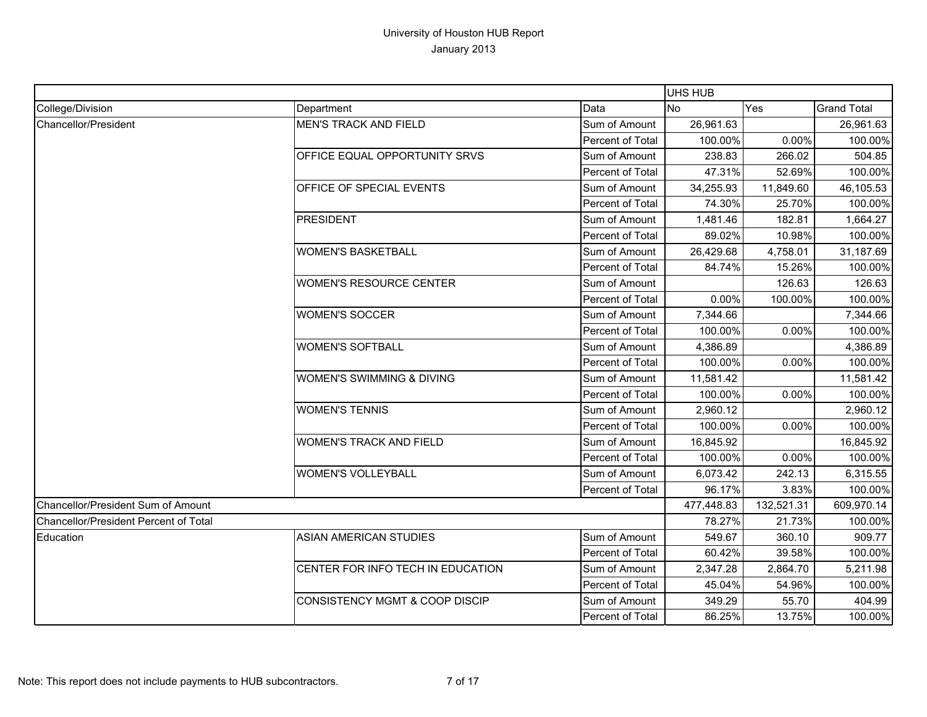|                                              |                                   |                  | UHS HUB    |            |                    |
|----------------------------------------------|-----------------------------------|------------------|------------|------------|--------------------|
| College/Division                             | Department                        | Data             | <b>No</b>  | Yes        | <b>Grand Total</b> |
| Chancellor/President                         | <b>MEN'S TRACK AND FIELD</b>      | Sum of Amount    | 26,961.63  |            | 26,961.63          |
|                                              |                                   | Percent of Total | 100.00%    | 0.00%      | 100.00%            |
|                                              | OFFICE EQUAL OPPORTUNITY SRVS     | Sum of Amount    | 238.83     | 266.02     | 504.85             |
|                                              |                                   | Percent of Total | 47.31%     | 52.69%     | 100.00%            |
|                                              | OFFICE OF SPECIAL EVENTS          | Sum of Amount    | 34,255.93  | 11,849.60  | 46,105.53          |
|                                              |                                   | Percent of Total | 74.30%     | 25.70%     | 100.00%            |
|                                              | <b>PRESIDENT</b>                  | Sum of Amount    | 1,481.46   | 182.81     | 1,664.27           |
|                                              |                                   | Percent of Total | 89.02%     | 10.98%     | 100.00%            |
|                                              | <b>WOMEN'S BASKETBALL</b>         | Sum of Amount    | 26,429.68  | 4,758.01   | 31,187.69          |
|                                              |                                   | Percent of Total | 84.74%     | 15.26%     | 100.00%            |
|                                              | <b>WOMEN'S RESOURCE CENTER</b>    | Sum of Amount    |            | 126.63     | 126.63             |
|                                              |                                   | Percent of Total | 0.00%      | 100.00%    | 100.00%            |
|                                              | <b>WOMEN'S SOCCER</b>             | Sum of Amount    | 7,344.66   |            | 7,344.66           |
|                                              |                                   | Percent of Total | 100.00%    | 0.00%      | 100.00%            |
|                                              | <b>WOMEN'S SOFTBALL</b>           | Sum of Amount    | 4,386.89   |            | 4,386.89           |
|                                              |                                   | Percent of Total | 100.00%    | 0.00%      | 100.00%            |
|                                              | WOMEN'S SWIMMING & DIVING         | Sum of Amount    | 11,581.42  |            | 11,581.42          |
|                                              |                                   | Percent of Total | 100.00%    | 0.00%      | 100.00%            |
|                                              | <b>WOMEN'S TENNIS</b>             | Sum of Amount    | 2,960.12   |            | 2,960.12           |
|                                              |                                   | Percent of Total | 100.00%    | 0.00%      | 100.00%            |
|                                              | <b>WOMEN'S TRACK AND FIELD</b>    | Sum of Amount    | 16,845.92  |            | 16,845.92          |
|                                              |                                   | Percent of Total | 100.00%    | 0.00%      | 100.00%            |
|                                              | <b>WOMEN'S VOLLEYBALL</b>         | Sum of Amount    | 6,073.42   | 242.13     | 6,315.55           |
|                                              |                                   | Percent of Total | 96.17%     | 3.83%      | 100.00%            |
| Chancellor/President Sum of Amount           |                                   |                  | 477,448.83 | 132,521.31 | 609,970.14         |
| <b>Chancellor/President Percent of Total</b> |                                   |                  | 78.27%     | 21.73%     | 100.00%            |
| Education                                    | <b>ASIAN AMERICAN STUDIES</b>     | Sum of Amount    | 549.67     | 360.10     | 909.77             |
|                                              |                                   | Percent of Total | 60.42%     | 39.58%     | 100.00%            |
|                                              | CENTER FOR INFO TECH IN EDUCATION | Sum of Amount    | 2,347.28   | 2,864.70   | 5,211.98           |
|                                              |                                   | Percent of Total | 45.04%     | 54.96%     | 100.00%            |
|                                              | CONSISTENCY MGMT & COOP DISCIP    | Sum of Amount    | 349.29     | 55.70      | 404.99             |
|                                              |                                   | Percent of Total | 86.25%     | 13.75%     | 100.00%            |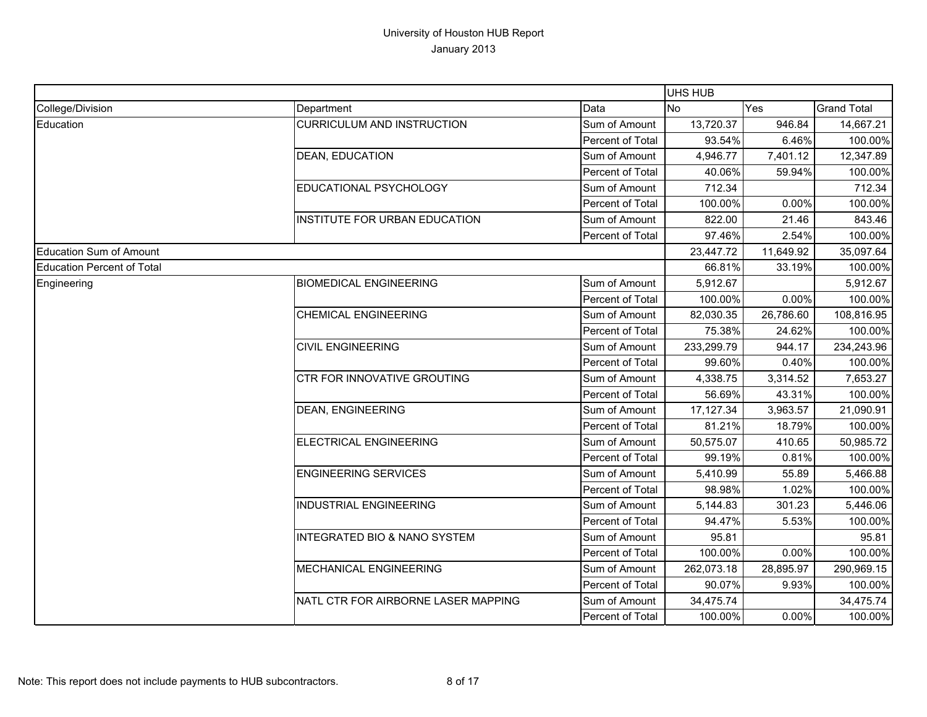|                                   |                                         |                         | UHS HUB        |           |                    |
|-----------------------------------|-----------------------------------------|-------------------------|----------------|-----------|--------------------|
| College/Division                  | Department                              | Data                    | N <sub>O</sub> | Yes       | <b>Grand Total</b> |
| Education                         | <b>CURRICULUM AND INSTRUCTION</b>       | Sum of Amount           | 13,720.37      | 946.84    | 14,667.21          |
|                                   |                                         | Percent of Total        | 93.54%         | 6.46%     | 100.00%            |
|                                   | <b>DEAN, EDUCATION</b>                  | Sum of Amount           | 4,946.77       | 7,401.12  | 12,347.89          |
|                                   |                                         | Percent of Total        | 40.06%         | 59.94%    | 100.00%            |
|                                   | EDUCATIONAL PSYCHOLOGY                  | Sum of Amount           | 712.34         |           | 712.34             |
|                                   |                                         | Percent of Total        | 100.00%        | 0.00%     | 100.00%            |
|                                   | <b>INSTITUTE FOR URBAN EDUCATION</b>    | Sum of Amount           | 822.00         | 21.46     | 843.46             |
|                                   |                                         | <b>Percent of Total</b> | 97.46%         | 2.54%     | 100.00%            |
| <b>Education Sum of Amount</b>    |                                         |                         | 23,447.72      | 11,649.92 | 35,097.64          |
| <b>Education Percent of Total</b> |                                         |                         | 66.81%         | 33.19%    | 100.00%            |
| Engineering                       | <b>BIOMEDICAL ENGINEERING</b>           | Sum of Amount           | 5,912.67       |           | 5,912.67           |
|                                   |                                         | Percent of Total        | 100.00%        | 0.00%     | 100.00%            |
|                                   | <b>CHEMICAL ENGINEERING</b>             | Sum of Amount           | 82,030.35      | 26,786.60 | 108,816.95         |
|                                   |                                         | Percent of Total        | 75.38%         | 24.62%    | 100.00%            |
|                                   | <b>CIVIL ENGINEERING</b>                | Sum of Amount           | 233,299.79     | 944.17    | 234,243.96         |
|                                   |                                         | Percent of Total        | 99.60%         | 0.40%     | 100.00%            |
|                                   | CTR FOR INNOVATIVE GROUTING             | Sum of Amount           | 4,338.75       | 3,314.52  | 7,653.27           |
|                                   |                                         | Percent of Total        | 56.69%         | 43.31%    | 100.00%            |
|                                   | <b>DEAN, ENGINEERING</b>                | Sum of Amount           | 17, 127.34     | 3,963.57  | 21,090.91          |
|                                   |                                         | Percent of Total        | 81.21%         | 18.79%    | 100.00%            |
|                                   | <b>ELECTRICAL ENGINEERING</b>           | Sum of Amount           | 50,575.07      | 410.65    | 50,985.72          |
|                                   |                                         | Percent of Total        | 99.19%         | 0.81%     | 100.00%            |
|                                   | <b>ENGINEERING SERVICES</b>             | Sum of Amount           | 5,410.99       | 55.89     | 5,466.88           |
|                                   |                                         | Percent of Total        | 98.98%         | 1.02%     | 100.00%            |
|                                   | <b>INDUSTRIAL ENGINEERING</b>           | Sum of Amount           | 5,144.83       | 301.23    | 5,446.06           |
|                                   |                                         | Percent of Total        | 94.47%         | 5.53%     | 100.00%            |
|                                   | <b>INTEGRATED BIO &amp; NANO SYSTEM</b> | Sum of Amount           | 95.81          |           | 95.81              |
|                                   |                                         | Percent of Total        | 100.00%        | $0.00\%$  | 100.00%            |
|                                   | MECHANICAL ENGINEERING                  | Sum of Amount           | 262,073.18     | 28,895.97 | 290,969.15         |
|                                   |                                         | Percent of Total        | 90.07%         | 9.93%     | 100.00%            |
|                                   | NATL CTR FOR AIRBORNE LASER MAPPING     | Sum of Amount           | 34,475.74      |           | 34,475.74          |
|                                   |                                         | Percent of Total        | 100.00%        | 0.00%     | 100.00%            |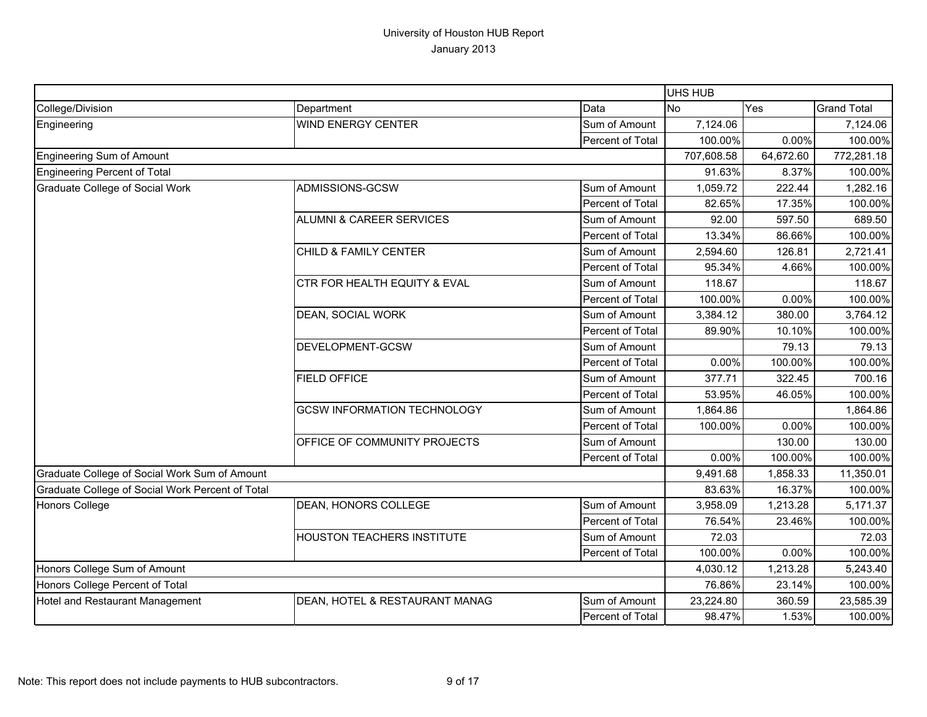|                                                  |                                     |                  | UHS HUB    |           |                    |
|--------------------------------------------------|-------------------------------------|------------------|------------|-----------|--------------------|
| College/Division                                 | Department                          | Data             | <b>No</b>  | Yes       | <b>Grand Total</b> |
| Engineering                                      | <b>WIND ENERGY CENTER</b>           | Sum of Amount    | 7,124.06   |           | 7,124.06           |
|                                                  |                                     | Percent of Total | 100.00%    | 0.00%     | 100.00%            |
| Engineering Sum of Amount                        |                                     |                  | 707,608.58 | 64,672.60 | 772,281.18         |
| Engineering Percent of Total                     |                                     |                  | 91.63%     | 8.37%     | 100.00%            |
| Graduate College of Social Work                  | ADMISSIONS-GCSW                     | Sum of Amount    | 1,059.72   | 222.44    | 1,282.16           |
|                                                  |                                     | Percent of Total | 82.65%     | 17.35%    | 100.00%            |
|                                                  | <b>ALUMNI &amp; CAREER SERVICES</b> | Sum of Amount    | 92.00      | 597.50    | 689.50             |
|                                                  |                                     | Percent of Total | 13.34%     | 86.66%    | 100.00%            |
|                                                  | CHILD & FAMILY CENTER               | Sum of Amount    | 2,594.60   | 126.81    | 2,721.41           |
|                                                  |                                     | Percent of Total | 95.34%     | 4.66%     | 100.00%            |
|                                                  | CTR FOR HEALTH EQUITY & EVAL        | Sum of Amount    | 118.67     |           | 118.67             |
|                                                  |                                     | Percent of Total | 100.00%    | 0.00%     | 100.00%            |
|                                                  | DEAN, SOCIAL WORK                   | Sum of Amount    | 3,384.12   | 380.00    | 3,764.12           |
|                                                  |                                     | Percent of Total | 89.90%     | 10.10%    | 100.00%            |
|                                                  | DEVELOPMENT-GCSW                    | Sum of Amount    |            | 79.13     | 79.13              |
|                                                  |                                     | Percent of Total | 0.00%      | 100.00%   | 100.00%            |
|                                                  | <b>FIELD OFFICE</b>                 | Sum of Amount    | 377.71     | 322.45    | 700.16             |
|                                                  |                                     | Percent of Total | 53.95%     | 46.05%    | 100.00%            |
|                                                  | <b>GCSW INFORMATION TECHNOLOGY</b>  | Sum of Amount    | 1,864.86   |           | 1,864.86           |
|                                                  |                                     | Percent of Total | 100.00%    | 0.00%     | 100.00%            |
|                                                  | OFFICE OF COMMUNITY PROJECTS        | Sum of Amount    |            | 130.00    | 130.00             |
|                                                  |                                     | Percent of Total | 0.00%      | 100.00%   | 100.00%            |
| Graduate College of Social Work Sum of Amount    |                                     |                  | 9,491.68   | 1,858.33  | 11,350.01          |
| Graduate College of Social Work Percent of Total |                                     |                  | 83.63%     | 16.37%    | 100.00%            |
| <b>Honors College</b>                            | DEAN, HONORS COLLEGE                | Sum of Amount    | 3,958.09   | 1,213.28  | 5,171.37           |
|                                                  |                                     | Percent of Total | 76.54%     | 23.46%    | 100.00%            |
|                                                  | HOUSTON TEACHERS INSTITUTE          | Sum of Amount    | 72.03      |           | 72.03              |
|                                                  |                                     | Percent of Total | 100.00%    | 0.00%     | 100.00%            |
| Honors College Sum of Amount                     |                                     |                  | 4,030.12   | 1,213.28  | 5,243.40           |
| Honors College Percent of Total                  |                                     |                  | 76.86%     | 23.14%    | 100.00%            |
| Hotel and Restaurant Management                  | DEAN, HOTEL & RESTAURANT MANAG      | Sum of Amount    | 23,224.80  | 360.59    | 23,585.39          |
|                                                  |                                     | Percent of Total | 98.47%     | 1.53%     | 100.00%            |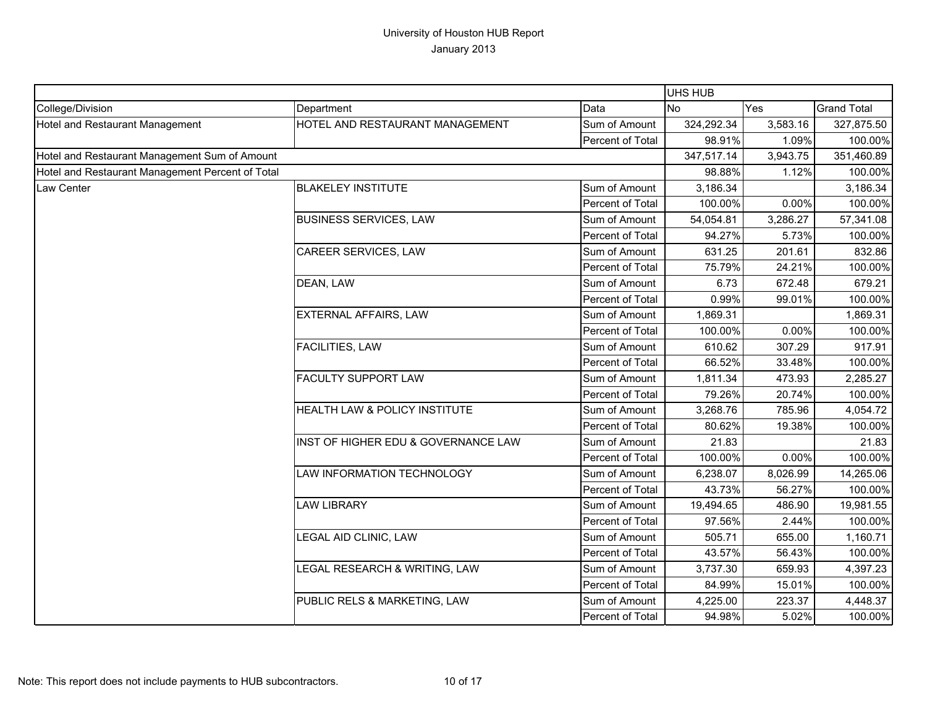|                                                  |                                     |                  | UHS HUB    |          |                    |
|--------------------------------------------------|-------------------------------------|------------------|------------|----------|--------------------|
| College/Division                                 | Department                          | Data             | <b>No</b>  | Yes      | <b>Grand Total</b> |
| Hotel and Restaurant Management                  | HOTEL AND RESTAURANT MANAGEMENT     | Sum of Amount    | 324,292.34 | 3,583.16 | 327,875.50         |
|                                                  |                                     | Percent of Total | 98.91%     | 1.09%    | 100.00%            |
| Hotel and Restaurant Management Sum of Amount    |                                     |                  | 347,517.14 | 3,943.75 | 351,460.89         |
| Hotel and Restaurant Management Percent of Total |                                     |                  | 98.88%     | 1.12%    | 100.00%            |
| Law Center                                       | <b>BLAKELEY INSTITUTE</b>           | Sum of Amount    | 3,186.34   |          | 3,186.34           |
|                                                  |                                     | Percent of Total | 100.00%    | 0.00%    | 100.00%            |
|                                                  | <b>BUSINESS SERVICES, LAW</b>       | Sum of Amount    | 54,054.81  | 3,286.27 | 57,341.08          |
|                                                  |                                     | Percent of Total | 94.27%     | 5.73%    | 100.00%            |
|                                                  | CAREER SERVICES, LAW                | Sum of Amount    | 631.25     | 201.61   | 832.86             |
|                                                  |                                     | Percent of Total | 75.79%     | 24.21%   | 100.00%            |
|                                                  | DEAN, LAW                           | Sum of Amount    | 6.73       | 672.48   | 679.21             |
|                                                  |                                     | Percent of Total | 0.99%      | 99.01%   | 100.00%            |
|                                                  | <b>EXTERNAL AFFAIRS, LAW</b>        | Sum of Amount    | 1,869.31   |          | 1,869.31           |
|                                                  |                                     | Percent of Total | 100.00%    | 0.00%    | 100.00%            |
|                                                  | FACILITIES, LAW                     | Sum of Amount    | 610.62     | 307.29   | 917.91             |
|                                                  |                                     | Percent of Total | 66.52%     | 33.48%   | 100.00%            |
|                                                  | <b>FACULTY SUPPORT LAW</b>          | Sum of Amount    | 1,811.34   | 473.93   | 2,285.27           |
|                                                  |                                     | Percent of Total | 79.26%     | 20.74%   | 100.00%            |
|                                                  | HEALTH LAW & POLICY INSTITUTE       | Sum of Amount    | 3,268.76   | 785.96   | 4,054.72           |
|                                                  |                                     | Percent of Total | 80.62%     | 19.38%   | 100.00%            |
|                                                  | INST OF HIGHER EDU & GOVERNANCE LAW | Sum of Amount    | 21.83      |          | 21.83              |
|                                                  |                                     | Percent of Total | 100.00%    | 0.00%    | 100.00%            |
|                                                  | LAW INFORMATION TECHNOLOGY          | Sum of Amount    | 6,238.07   | 8,026.99 | 14,265.06          |
|                                                  |                                     | Percent of Total | 43.73%     | 56.27%   | 100.00%            |
|                                                  | <b>LAW LIBRARY</b>                  | Sum of Amount    | 19,494.65  | 486.90   | 19,981.55          |
|                                                  |                                     | Percent of Total | 97.56%     | 2.44%    | 100.00%            |
|                                                  | LEGAL AID CLINIC, LAW               | Sum of Amount    | 505.71     | 655.00   | 1,160.71           |
|                                                  |                                     | Percent of Total | 43.57%     | 56.43%   | 100.00%            |
|                                                  | LEGAL RESEARCH & WRITING, LAW       | Sum of Amount    | 3,737.30   | 659.93   | 4,397.23           |
|                                                  |                                     | Percent of Total | 84.99%     | 15.01%   | 100.00%            |
|                                                  | PUBLIC RELS & MARKETING, LAW        | Sum of Amount    | 4,225.00   | 223.37   | 4,448.37           |
|                                                  |                                     | Percent of Total | 94.98%     | 5.02%    | 100.00%            |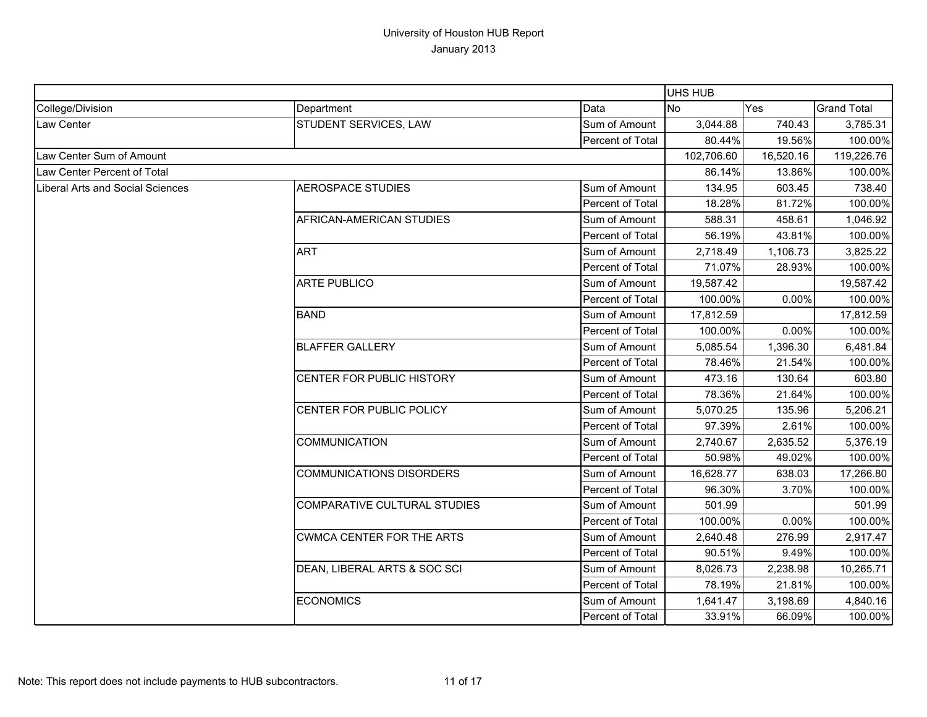|                                  |                                     |                  | UHS HUB    |           |                    |
|----------------------------------|-------------------------------------|------------------|------------|-----------|--------------------|
| College/Division                 | Department                          | Data             | <b>No</b>  | Yes       | <b>Grand Total</b> |
| <b>Law Center</b>                | STUDENT SERVICES, LAW               | Sum of Amount    | 3,044.88   | 740.43    | 3,785.31           |
|                                  |                                     | Percent of Total | 80.44%     | 19.56%    | 100.00%            |
| Law Center Sum of Amount         |                                     |                  | 102,706.60 | 16,520.16 | 119,226.76         |
| Law Center Percent of Total      |                                     |                  | 86.14%     | 13.86%    | 100.00%            |
| Liberal Arts and Social Sciences | <b>AEROSPACE STUDIES</b>            | Sum of Amount    | 134.95     | 603.45    | 738.40             |
|                                  |                                     | Percent of Total | 18.28%     | 81.72%    | 100.00%            |
|                                  | AFRICAN-AMERICAN STUDIES            | Sum of Amount    | 588.31     | 458.61    | 1,046.92           |
|                                  |                                     | Percent of Total | 56.19%     | 43.81%    | 100.00%            |
|                                  | <b>ART</b>                          | Sum of Amount    | 2,718.49   | 1,106.73  | 3,825.22           |
|                                  |                                     | Percent of Total | 71.07%     | 28.93%    | 100.00%            |
|                                  | <b>ARTE PUBLICO</b>                 | Sum of Amount    | 19,587.42  |           | 19,587.42          |
|                                  |                                     | Percent of Total | 100.00%    | 0.00%     | 100.00%            |
|                                  | <b>BAND</b>                         | Sum of Amount    | 17,812.59  |           | 17,812.59          |
|                                  |                                     | Percent of Total | 100.00%    | 0.00%     | 100.00%            |
|                                  | <b>BLAFFER GALLERY</b>              | Sum of Amount    | 5,085.54   | 1,396.30  | 6,481.84           |
|                                  |                                     | Percent of Total | 78.46%     | 21.54%    | 100.00%            |
|                                  | CENTER FOR PUBLIC HISTORY           | Sum of Amount    | 473.16     | 130.64    | 603.80             |
|                                  |                                     | Percent of Total | 78.36%     | 21.64%    | 100.00%            |
|                                  | CENTER FOR PUBLIC POLICY            | Sum of Amount    | 5,070.25   | 135.96    | 5,206.21           |
|                                  |                                     | Percent of Total | 97.39%     | 2.61%     | 100.00%            |
|                                  | <b>COMMUNICATION</b>                | Sum of Amount    | 2,740.67   | 2,635.52  | 5,376.19           |
|                                  |                                     | Percent of Total | 50.98%     | 49.02%    | 100.00%            |
|                                  | <b>COMMUNICATIONS DISORDERS</b>     | Sum of Amount    | 16,628.77  | 638.03    | 17,266.80          |
|                                  |                                     | Percent of Total | 96.30%     | 3.70%     | 100.00%            |
|                                  | <b>COMPARATIVE CULTURAL STUDIES</b> | Sum of Amount    | 501.99     |           | 501.99             |
|                                  |                                     | Percent of Total | 100.00%    | 0.00%     | 100.00%            |
|                                  | <b>CWMCA CENTER FOR THE ARTS</b>    | Sum of Amount    | 2,640.48   | 276.99    | 2,917.47           |
|                                  |                                     | Percent of Total | 90.51%     | 9.49%     | 100.00%            |
|                                  | DEAN, LIBERAL ARTS & SOC SCI        | Sum of Amount    | 8,026.73   | 2,238.98  | 10,265.71          |
|                                  |                                     | Percent of Total | 78.19%     | 21.81%    | 100.00%            |
|                                  | <b>ECONOMICS</b>                    | Sum of Amount    | 1,641.47   | 3,198.69  | 4,840.16           |
|                                  |                                     | Percent of Total | 33.91%     | 66.09%    | 100.00%            |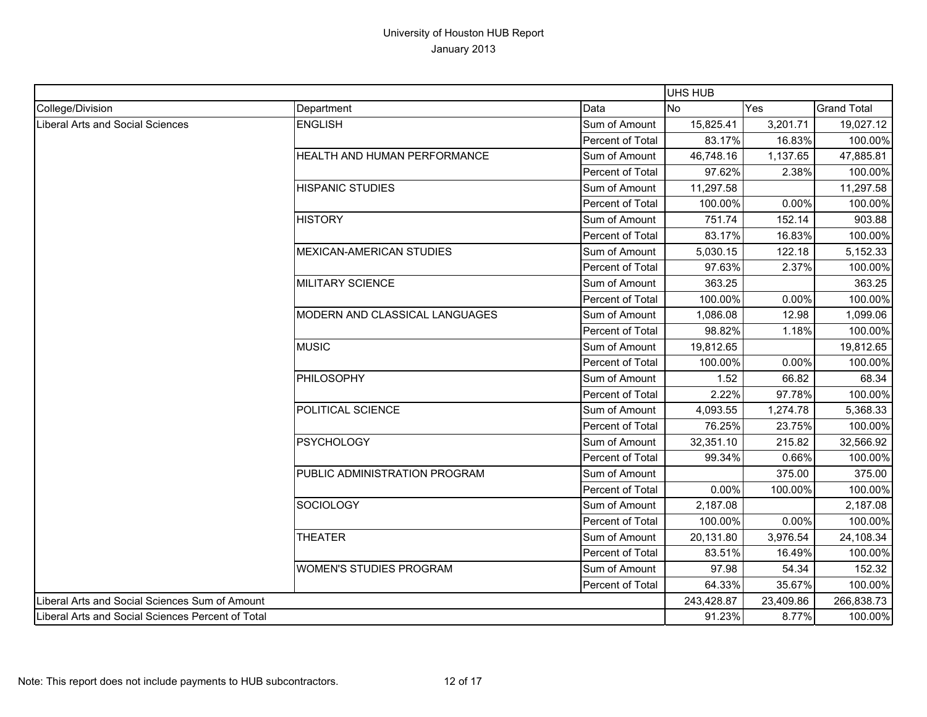|                                                   |                                 |                         | <b>UHS HUB</b> |           |                    |
|---------------------------------------------------|---------------------------------|-------------------------|----------------|-----------|--------------------|
| College/Division                                  | Department                      | Data                    | <b>No</b>      | Yes       | <b>Grand Total</b> |
| Liberal Arts and Social Sciences                  | <b>ENGLISH</b>                  | Sum of Amount           | 15,825.41      | 3,201.71  | 19,027.12          |
|                                                   |                                 | Percent of Total        | 83.17%         | 16.83%    | 100.00%            |
|                                                   | HEALTH AND HUMAN PERFORMANCE    | Sum of Amount           | 46,748.16      | 1,137.65  | 47,885.81          |
|                                                   |                                 | Percent of Total        | 97.62%         | 2.38%     | 100.00%            |
|                                                   | <b>HISPANIC STUDIES</b>         | Sum of Amount           | 11,297.58      |           | 11,297.58          |
|                                                   |                                 | Percent of Total        | 100.00%        | 0.00%     | 100.00%            |
|                                                   | <b>HISTORY</b>                  | Sum of Amount           | 751.74         | 152.14    | 903.88             |
|                                                   |                                 | Percent of Total        | 83.17%         | 16.83%    | 100.00%            |
|                                                   | <b>MEXICAN-AMERICAN STUDIES</b> | Sum of Amount           | 5,030.15       | 122.18    | 5,152.33           |
|                                                   |                                 | Percent of Total        | 97.63%         | 2.37%     | 100.00%            |
|                                                   | <b>MILITARY SCIENCE</b>         | Sum of Amount           | 363.25         |           | 363.25             |
|                                                   |                                 | Percent of Total        | 100.00%        | 0.00%     | 100.00%            |
|                                                   | MODERN AND CLASSICAL LANGUAGES  | Sum of Amount           | 1,086.08       | 12.98     | 1,099.06           |
|                                                   |                                 | Percent of Total        | 98.82%         | 1.18%     | 100.00%            |
|                                                   | <b>MUSIC</b>                    | Sum of Amount           | 19,812.65      |           | 19,812.65          |
|                                                   |                                 | Percent of Total        | 100.00%        | 0.00%     | 100.00%            |
|                                                   | <b>PHILOSOPHY</b>               | Sum of Amount           | 1.52           | 66.82     | 68.34              |
|                                                   |                                 | Percent of Total        | 2.22%          | 97.78%    | 100.00%            |
|                                                   | POLITICAL SCIENCE               | Sum of Amount           | 4,093.55       | 1,274.78  | 5,368.33           |
|                                                   |                                 | Percent of Total        | 76.25%         | 23.75%    | 100.00%            |
|                                                   | <b>PSYCHOLOGY</b>               | Sum of Amount           | 32,351.10      | 215.82    | 32,566.92          |
|                                                   |                                 | Percent of Total        | 99.34%         | 0.66%     | 100.00%            |
|                                                   | PUBLIC ADMINISTRATION PROGRAM   | Sum of Amount           |                | 375.00    | 375.00             |
|                                                   |                                 | <b>Percent of Total</b> | 0.00%          | 100.00%   | 100.00%            |
|                                                   | <b>SOCIOLOGY</b>                | Sum of Amount           | 2,187.08       |           | 2,187.08           |
|                                                   |                                 | Percent of Total        | 100.00%        | 0.00%     | 100.00%            |
|                                                   | <b>THEATER</b>                  | Sum of Amount           | 20,131.80      | 3,976.54  | 24,108.34          |
|                                                   |                                 | Percent of Total        | 83.51%         | 16.49%    | 100.00%            |
|                                                   | <b>WOMEN'S STUDIES PROGRAM</b>  | Sum of Amount           | 97.98          | 54.34     | 152.32             |
|                                                   |                                 | Percent of Total        | 64.33%         | 35.67%    | 100.00%            |
| Liberal Arts and Social Sciences Sum of Amount    |                                 |                         | 243,428.87     | 23,409.86 | 266,838.73         |
| Liberal Arts and Social Sciences Percent of Total |                                 |                         | 91.23%         | 8.77%     | 100.00%            |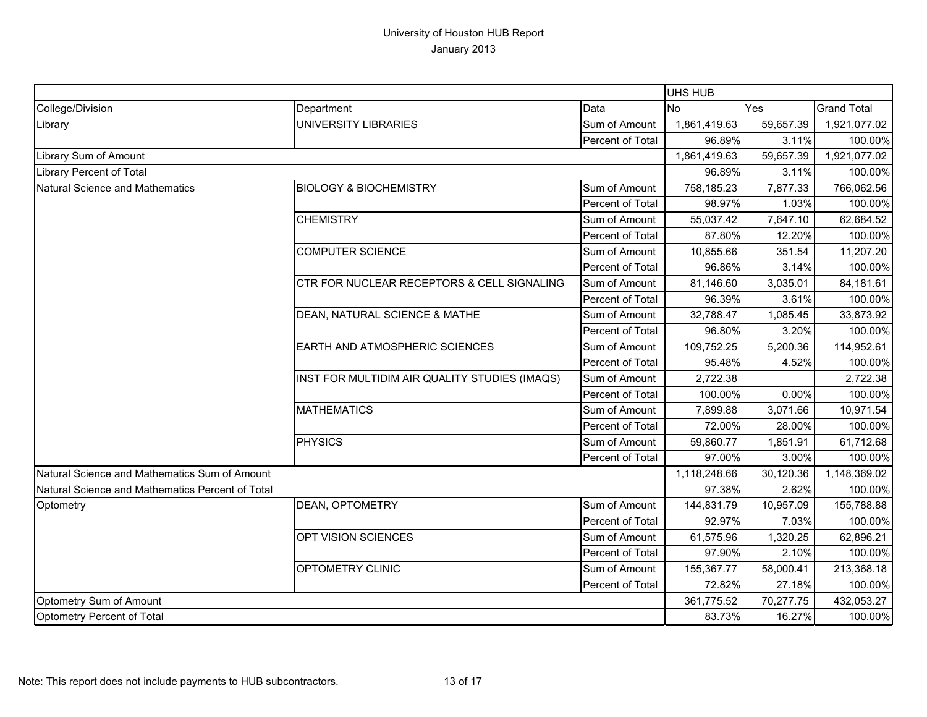|                                                  |                                               |                  | UHS HUB      |           |                    |
|--------------------------------------------------|-----------------------------------------------|------------------|--------------|-----------|--------------------|
| College/Division                                 | Department                                    | Data             | <b>No</b>    | Yes       | <b>Grand Total</b> |
| Library                                          | <b>UNIVERSITY LIBRARIES</b>                   | Sum of Amount    | 1,861,419.63 | 59,657.39 | 1,921,077.02       |
|                                                  |                                               | Percent of Total | 96.89%       | 3.11%     | 100.00%            |
| Library Sum of Amount                            |                                               |                  | 1,861,419.63 | 59,657.39 | 1,921,077.02       |
| Library Percent of Total                         |                                               |                  | 96.89%       | 3.11%     | 100.00%            |
| Natural Science and Mathematics                  | <b>BIOLOGY &amp; BIOCHEMISTRY</b>             | Sum of Amount    | 758,185.23   | 7,877.33  | 766,062.56         |
|                                                  |                                               | Percent of Total | 98.97%       | 1.03%     | 100.00%            |
|                                                  | <b>CHEMISTRY</b>                              | Sum of Amount    | 55,037.42    | 7,647.10  | 62,684.52          |
|                                                  |                                               | Percent of Total | 87.80%       | 12.20%    | 100.00%            |
|                                                  | <b>COMPUTER SCIENCE</b>                       | Sum of Amount    | 10,855.66    | 351.54    | 11,207.20          |
|                                                  |                                               | Percent of Total | 96.86%       | 3.14%     | 100.00%            |
|                                                  | CTR FOR NUCLEAR RECEPTORS & CELL SIGNALING    | Sum of Amount    | 81,146.60    | 3,035.01  | 84,181.61          |
|                                                  |                                               | Percent of Total | 96.39%       | 3.61%     | 100.00%            |
|                                                  | DEAN, NATURAL SCIENCE & MATHE                 | Sum of Amount    | 32,788.47    | 1,085.45  | 33,873.92          |
|                                                  |                                               | Percent of Total | 96.80%       | 3.20%     | 100.00%            |
|                                                  | EARTH AND ATMOSPHERIC SCIENCES                | Sum of Amount    | 109,752.25   | 5,200.36  | 114,952.61         |
|                                                  |                                               | Percent of Total | 95.48%       | 4.52%     | 100.00%            |
|                                                  | INST FOR MULTIDIM AIR QUALITY STUDIES (IMAQS) | Sum of Amount    | 2,722.38     |           | 2,722.38           |
|                                                  |                                               | Percent of Total | 100.00%      | 0.00%     | 100.00%            |
|                                                  | <b>MATHEMATICS</b>                            | Sum of Amount    | 7,899.88     | 3,071.66  | 10,971.54          |
|                                                  |                                               | Percent of Total | 72.00%       | 28.00%    | 100.00%            |
|                                                  | <b>PHYSICS</b>                                | Sum of Amount    | 59,860.77    | 1,851.91  | 61,712.68          |
|                                                  |                                               | Percent of Total | 97.00%       | 3.00%     | 100.00%            |
| Natural Science and Mathematics Sum of Amount    |                                               |                  | 1,118,248.66 | 30,120.36 | 1,148,369.02       |
| Natural Science and Mathematics Percent of Total |                                               |                  | 97.38%       | 2.62%     | 100.00%            |
| Optometry                                        | DEAN, OPTOMETRY                               | Sum of Amount    | 144,831.79   | 10,957.09 | 155,788.88         |
|                                                  |                                               | Percent of Total | 92.97%       | 7.03%     | 100.00%            |
|                                                  | OPT VISION SCIENCES                           | Sum of Amount    | 61,575.96    | 1,320.25  | 62,896.21          |
|                                                  |                                               | Percent of Total | 97.90%       | 2.10%     | 100.00%            |
|                                                  | OPTOMETRY CLINIC                              | Sum of Amount    | 155,367.77   | 58,000.41 | 213,368.18         |
|                                                  |                                               | Percent of Total | 72.82%       | 27.18%    | 100.00%            |
| Optometry Sum of Amount                          |                                               |                  | 361,775.52   | 70,277.75 | 432,053.27         |
| Optometry Percent of Total                       |                                               |                  | 83.73%       | 16.27%    | 100.00%            |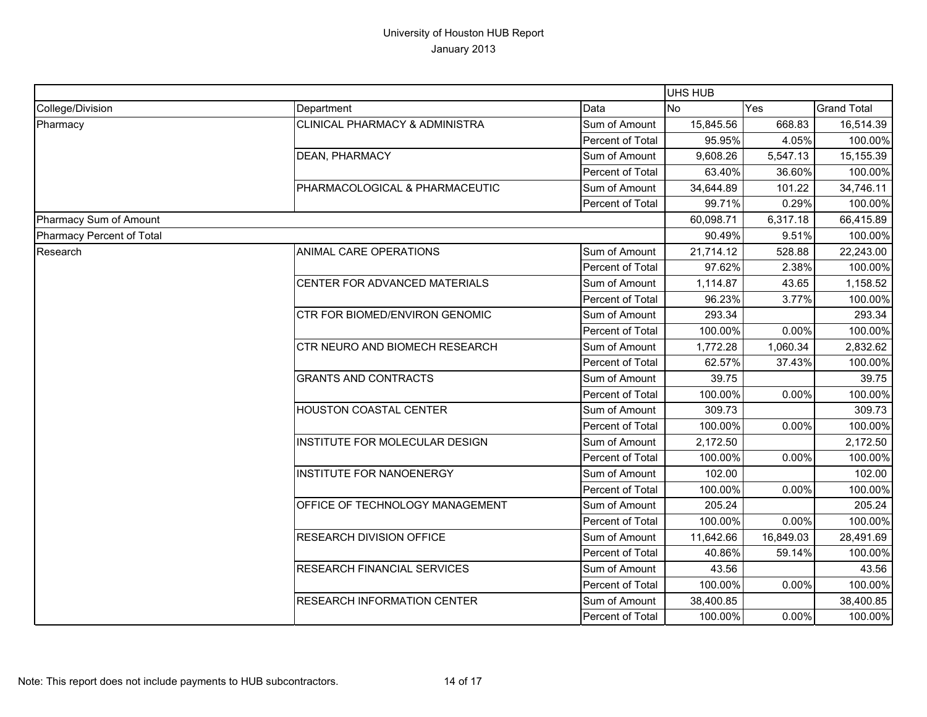|                           |                                    |                  | UHS HUB   |           |                    |
|---------------------------|------------------------------------|------------------|-----------|-----------|--------------------|
| College/Division          | Department                         | Data             | <b>No</b> | Yes       | <b>Grand Total</b> |
| Pharmacy                  | CLINICAL PHARMACY & ADMINISTRA     | Sum of Amount    | 15,845.56 | 668.83    | 16,514.39          |
|                           |                                    | Percent of Total | 95.95%    | 4.05%     | 100.00%            |
|                           | DEAN, PHARMACY                     | Sum of Amount    | 9,608.26  | 5,547.13  | 15,155.39          |
|                           |                                    | Percent of Total | 63.40%    | 36.60%    | 100.00%            |
|                           | PHARMACOLOGICAL & PHARMACEUTIC     | Sum of Amount    | 34,644.89 | 101.22    | 34,746.11          |
|                           |                                    | Percent of Total | 99.71%    | 0.29%     | 100.00%            |
| Pharmacy Sum of Amount    |                                    |                  | 60,098.71 | 6,317.18  | 66,415.89          |
| Pharmacy Percent of Total |                                    |                  | 90.49%    | 9.51%     | 100.00%            |
| Research                  | ANIMAL CARE OPERATIONS             | Sum of Amount    | 21,714.12 | 528.88    | 22,243.00          |
|                           |                                    | Percent of Total | 97.62%    | 2.38%     | 100.00%            |
|                           | CENTER FOR ADVANCED MATERIALS      | Sum of Amount    | 1,114.87  | 43.65     | 1,158.52           |
|                           |                                    | Percent of Total | 96.23%    | 3.77%     | 100.00%            |
|                           | CTR FOR BIOMED/ENVIRON GENOMIC     | Sum of Amount    | 293.34    |           | 293.34             |
|                           |                                    | Percent of Total | 100.00%   | 0.00%     | 100.00%            |
|                           | CTR NEURO AND BIOMECH RESEARCH     | Sum of Amount    | 1,772.28  | 1,060.34  | 2,832.62           |
|                           |                                    | Percent of Total | 62.57%    | 37.43%    | 100.00%            |
|                           | <b>GRANTS AND CONTRACTS</b>        | Sum of Amount    | 39.75     |           | 39.75              |
|                           |                                    | Percent of Total | 100.00%   | 0.00%     | 100.00%            |
|                           | HOUSTON COASTAL CENTER             | Sum of Amount    | 309.73    |           | 309.73             |
|                           |                                    | Percent of Total | 100.00%   | 0.00%     | 100.00%            |
|                           | INSTITUTE FOR MOLECULAR DESIGN     | Sum of Amount    | 2,172.50  |           | 2,172.50           |
|                           |                                    | Percent of Total | 100.00%   | 0.00%     | 100.00%            |
|                           | <b>INSTITUTE FOR NANOENERGY</b>    | Sum of Amount    | 102.00    |           | 102.00             |
|                           |                                    | Percent of Total | 100.00%   | 0.00%     | 100.00%            |
|                           | OFFICE OF TECHNOLOGY MANAGEMENT    | Sum of Amount    | 205.24    |           | 205.24             |
|                           |                                    | Percent of Total | 100.00%   | 0.00%     | 100.00%            |
|                           | RESEARCH DIVISION OFFICE           | Sum of Amount    | 11,642.66 | 16,849.03 | 28,491.69          |
|                           |                                    | Percent of Total | 40.86%    | 59.14%    | 100.00%            |
|                           | RESEARCH FINANCIAL SERVICES        | Sum of Amount    | 43.56     |           | 43.56              |
|                           |                                    | Percent of Total | 100.00%   | 0.00%     | 100.00%            |
|                           | <b>RESEARCH INFORMATION CENTER</b> | Sum of Amount    | 38,400.85 |           | 38,400.85          |
|                           |                                    | Percent of Total | 100.00%   | 0.00%     | 100.00%            |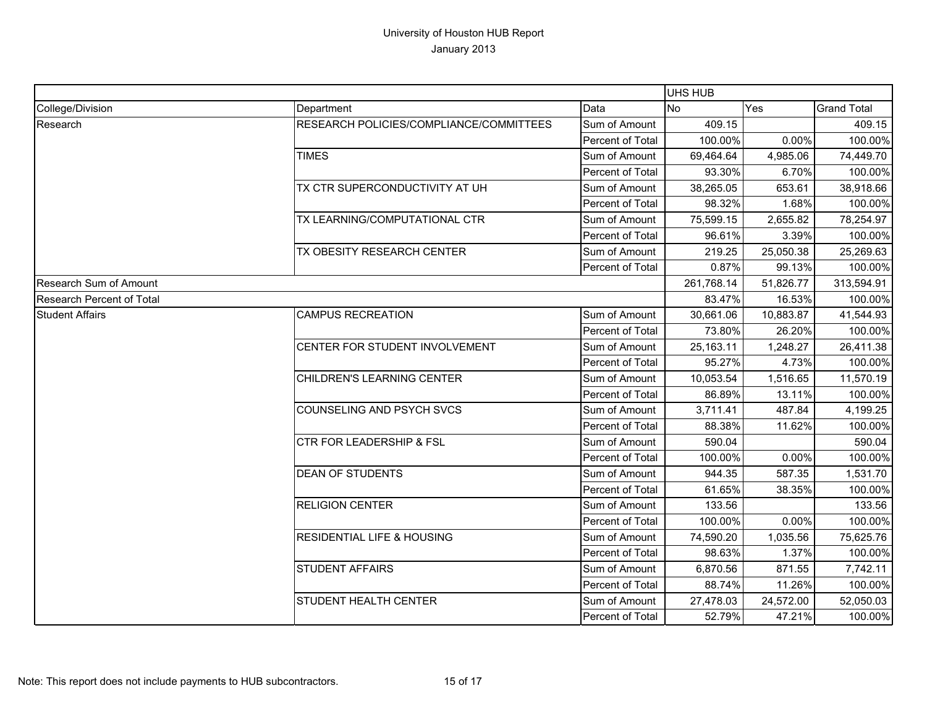|                           |                                         |                  | UHS HUB    |            |                    |
|---------------------------|-----------------------------------------|------------------|------------|------------|--------------------|
| College/Division          | Department                              | Data             | <b>No</b>  | <b>Yes</b> | <b>Grand Total</b> |
| Research                  | RESEARCH POLICIES/COMPLIANCE/COMMITTEES | Sum of Amount    | 409.15     |            | 409.15             |
|                           |                                         | Percent of Total | 100.00%    | 0.00%      | 100.00%            |
|                           | <b>TIMES</b>                            | Sum of Amount    | 69,464.64  | 4,985.06   | 74,449.70          |
|                           |                                         | Percent of Total | 93.30%     | 6.70%      | 100.00%            |
|                           | TX CTR SUPERCONDUCTIVITY AT UH          | Sum of Amount    | 38,265.05  | 653.61     | 38,918.66          |
|                           |                                         | Percent of Total | 98.32%     | 1.68%      | 100.00%            |
|                           | TX LEARNING/COMPUTATIONAL CTR           | Sum of Amount    | 75,599.15  | 2,655.82   | 78,254.97          |
|                           |                                         | Percent of Total | 96.61%     | 3.39%      | 100.00%            |
|                           | TX OBESITY RESEARCH CENTER              | Sum of Amount    | 219.25     | 25,050.38  | 25,269.63          |
|                           |                                         | Percent of Total | 0.87%      | 99.13%     | 100.00%            |
| Research Sum of Amount    |                                         |                  | 261,768.14 | 51,826.77  | 313,594.91         |
| Research Percent of Total |                                         |                  | 83.47%     | 16.53%     | 100.00%            |
| <b>Student Affairs</b>    | <b>CAMPUS RECREATION</b>                | Sum of Amount    | 30,661.06  | 10,883.87  | 41,544.93          |
|                           |                                         | Percent of Total | 73.80%     | 26.20%     | 100.00%            |
|                           | CENTER FOR STUDENT INVOLVEMENT          | Sum of Amount    | 25,163.11  | 1,248.27   | 26,411.38          |
|                           |                                         | Percent of Total | 95.27%     | 4.73%      | 100.00%            |
|                           | CHILDREN'S LEARNING CENTER              | Sum of Amount    | 10,053.54  | 1,516.65   | 11,570.19          |
|                           |                                         | Percent of Total | 86.89%     | 13.11%     | 100.00%            |
|                           | COUNSELING AND PSYCH SVCS               | Sum of Amount    | 3,711.41   | 487.84     | 4,199.25           |
|                           |                                         | Percent of Total | 88.38%     | 11.62%     | 100.00%            |
|                           | <b>CTR FOR LEADERSHIP &amp; FSL</b>     | Sum of Amount    | 590.04     |            | 590.04             |
|                           |                                         | Percent of Total | 100.00%    | 0.00%      | 100.00%            |
|                           | <b>DEAN OF STUDENTS</b>                 | Sum of Amount    | 944.35     | 587.35     | 1,531.70           |
|                           |                                         | Percent of Total | 61.65%     | 38.35%     | 100.00%            |
|                           | <b>RELIGION CENTER</b>                  | Sum of Amount    | 133.56     |            | 133.56             |
|                           |                                         | Percent of Total | 100.00%    | 0.00%      | 100.00%            |
|                           | <b>RESIDENTIAL LIFE &amp; HOUSING</b>   | Sum of Amount    | 74,590.20  | 1,035.56   | 75,625.76          |
|                           |                                         | Percent of Total | 98.63%     | 1.37%      | 100.00%            |
|                           | <b>STUDENT AFFAIRS</b>                  | Sum of Amount    | 6,870.56   | 871.55     | 7,742.11           |
|                           |                                         | Percent of Total | 88.74%     | 11.26%     | 100.00%            |
|                           | <b>STUDENT HEALTH CENTER</b>            | Sum of Amount    | 27,478.03  | 24,572.00  | 52,050.03          |
|                           |                                         | Percent of Total | 52.79%     | 47.21%     | 100.00%            |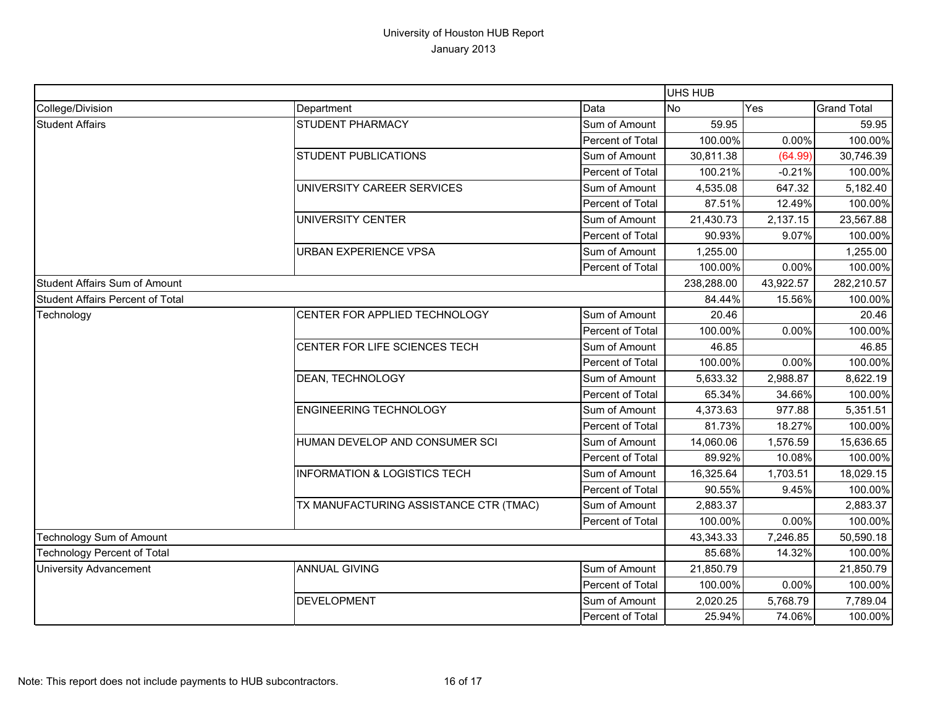|                                         |                                         |                  | UHS HUB    |           |                    |
|-----------------------------------------|-----------------------------------------|------------------|------------|-----------|--------------------|
| College/Division                        | Department                              | Data             | <b>No</b>  | Yes       | <b>Grand Total</b> |
| <b>Student Affairs</b>                  | <b>STUDENT PHARMACY</b>                 | Sum of Amount    | 59.95      |           | 59.95              |
|                                         |                                         | Percent of Total | 100.00%    | 0.00%     | 100.00%            |
|                                         | <b>STUDENT PUBLICATIONS</b>             | Sum of Amount    | 30,811.38  | (64.99)   | 30,746.39          |
|                                         |                                         | Percent of Total | 100.21%    | $-0.21%$  | 100.00%            |
|                                         | UNIVERSITY CAREER SERVICES              | Sum of Amount    | 4,535.08   | 647.32    | 5,182.40           |
|                                         |                                         | Percent of Total | 87.51%     | 12.49%    | 100.00%            |
|                                         | UNIVERSITY CENTER                       | Sum of Amount    | 21,430.73  | 2,137.15  | 23,567.88          |
|                                         |                                         | Percent of Total | 90.93%     | 9.07%     | 100.00%            |
|                                         | <b>URBAN EXPERIENCE VPSA</b>            | Sum of Amount    | 1,255.00   |           | 1,255.00           |
|                                         |                                         | Percent of Total | 100.00%    | 0.00%     | 100.00%            |
| <b>Student Affairs Sum of Amount</b>    |                                         |                  | 238,288.00 | 43,922.57 | 282,210.57         |
| <b>Student Affairs Percent of Total</b> |                                         |                  | 84.44%     | 15.56%    | 100.00%            |
| Technology                              | CENTER FOR APPLIED TECHNOLOGY           | Sum of Amount    | 20.46      |           | 20.46              |
|                                         |                                         | Percent of Total | 100.00%    | 0.00%     | 100.00%            |
|                                         | CENTER FOR LIFE SCIENCES TECH           | Sum of Amount    | 46.85      |           | 46.85              |
|                                         |                                         | Percent of Total | 100.00%    | 0.00%     | 100.00%            |
|                                         | DEAN, TECHNOLOGY                        | Sum of Amount    | 5,633.32   | 2,988.87  | 8,622.19           |
|                                         |                                         | Percent of Total | 65.34%     | 34.66%    | 100.00%            |
|                                         | <b>ENGINEERING TECHNOLOGY</b>           | Sum of Amount    | 4,373.63   | 977.88    | 5,351.51           |
|                                         |                                         | Percent of Total | 81.73%     | 18.27%    | 100.00%            |
|                                         | HUMAN DEVELOP AND CONSUMER SCI          | Sum of Amount    | 14,060.06  | 1,576.59  | 15,636.65          |
|                                         |                                         | Percent of Total | 89.92%     | 10.08%    | 100.00%            |
|                                         | <b>INFORMATION &amp; LOGISTICS TECH</b> | Sum of Amount    | 16,325.64  | 1,703.51  | 18,029.15          |
|                                         |                                         | Percent of Total | 90.55%     | 9.45%     | 100.00%            |
|                                         | TX MANUFACTURING ASSISTANCE CTR (TMAC)  | Sum of Amount    | 2,883.37   |           | 2,883.37           |
|                                         |                                         | Percent of Total | 100.00%    | 0.00%     | 100.00%            |
| Technology Sum of Amount                |                                         | 43,343.33        | 7,246.85   | 50,590.18 |                    |
| <b>Technology Percent of Total</b>      |                                         | 85.68%           | 14.32%     | 100.00%   |                    |
| <b>University Advancement</b>           | <b>ANNUAL GIVING</b>                    | Sum of Amount    | 21,850.79  |           | 21,850.79          |
|                                         |                                         | Percent of Total | 100.00%    | 0.00%     | 100.00%            |
|                                         | <b>DEVELOPMENT</b>                      | Sum of Amount    | 2,020.25   | 5,768.79  | 7,789.04           |
|                                         |                                         | Percent of Total | 25.94%     | 74.06%    | 100.00%            |